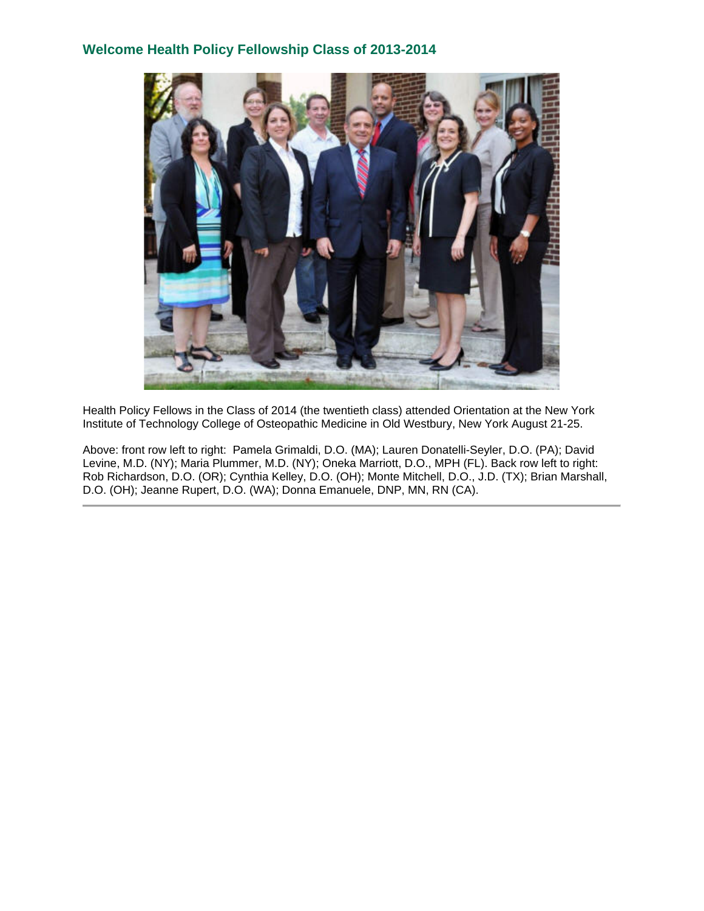# **Welcome Health Policy Fellowship Class of 2013-2014**



Health Policy Fellows in the Class of 2014 (the twentieth class) attended Orientation at the New York Institute of Technology College of Osteopathic Medicine in Old Westbury, New York August 21-25.

Above: front row left to right: Pamela Grimaldi, D.O. (MA); Lauren Donatelli-Seyler, D.O. (PA); David Levine, M.D. (NY); Maria Plummer, M.D. (NY); Oneka Marriott, D.O., MPH (FL). Back row left to right: Rob Richardson, D.O. (OR); Cynthia Kelley, D.O. (OH); Monte Mitchell, D.O., J.D. (TX); Brian Marshall, D.O. (OH); Jeanne Rupert, D.O. (WA); Donna Emanuele, DNP, MN, RN (CA).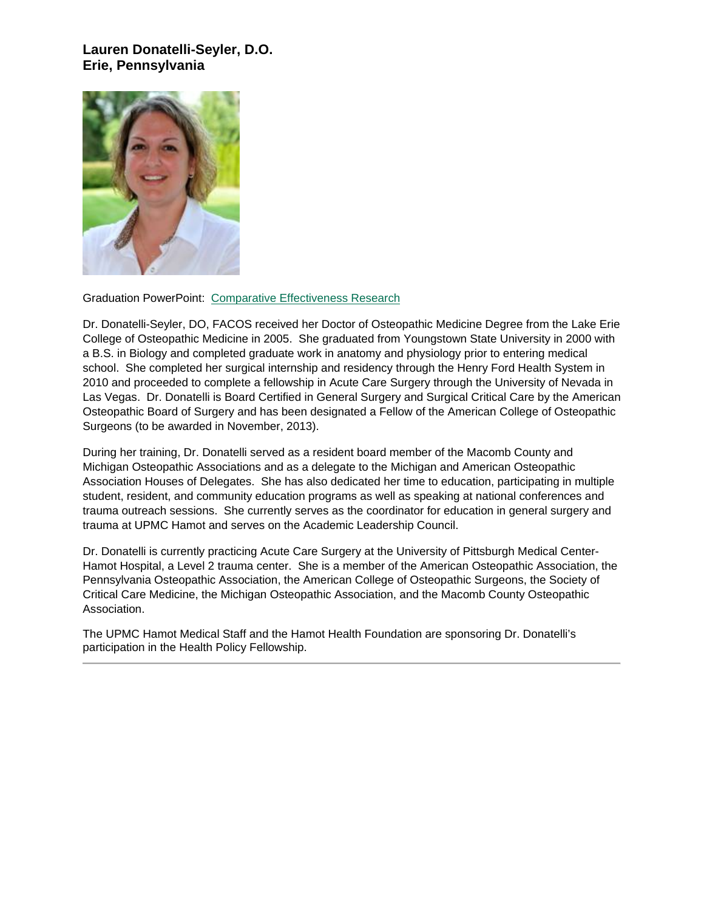# **Lauren Donatelli-Seyler, D.O. Erie, Pennsylvania**



#### Graduation PowerPoint: [Comparative Effectiveness Research](https://ohio.box.com/s/hqxcllviez9hz09tu2pl5khamh5tbbxh)

Dr. Donatelli-Seyler, DO, FACOS received her Doctor of Osteopathic Medicine Degree from the Lake Erie College of Osteopathic Medicine in 2005. She graduated from Youngstown State University in 2000 with a B.S. in Biology and completed graduate work in anatomy and physiology prior to entering medical school. She completed her surgical internship and residency through the Henry Ford Health System in 2010 and proceeded to complete a fellowship in Acute Care Surgery through the University of Nevada in Las Vegas. Dr. Donatelli is Board Certified in General Surgery and Surgical Critical Care by the American Osteopathic Board of Surgery and has been designated a Fellow of the American College of Osteopathic Surgeons (to be awarded in November, 2013).

During her training, Dr. Donatelli served as a resident board member of the Macomb County and Michigan Osteopathic Associations and as a delegate to the Michigan and American Osteopathic Association Houses of Delegates. She has also dedicated her time to education, participating in multiple student, resident, and community education programs as well as speaking at national conferences and trauma outreach sessions. She currently serves as the coordinator for education in general surgery and trauma at UPMC Hamot and serves on the Academic Leadership Council.

Dr. Donatelli is currently practicing Acute Care Surgery at the University of Pittsburgh Medical Center-Hamot Hospital, a Level 2 trauma center. She is a member of the American Osteopathic Association, the Pennsylvania Osteopathic Association, the American College of Osteopathic Surgeons, the Society of Critical Care Medicine, the Michigan Osteopathic Association, and the Macomb County Osteopathic Association.

The UPMC Hamot Medical Staff and the Hamot Health Foundation are sponsoring Dr. Donatelli's participation in the Health Policy Fellowship.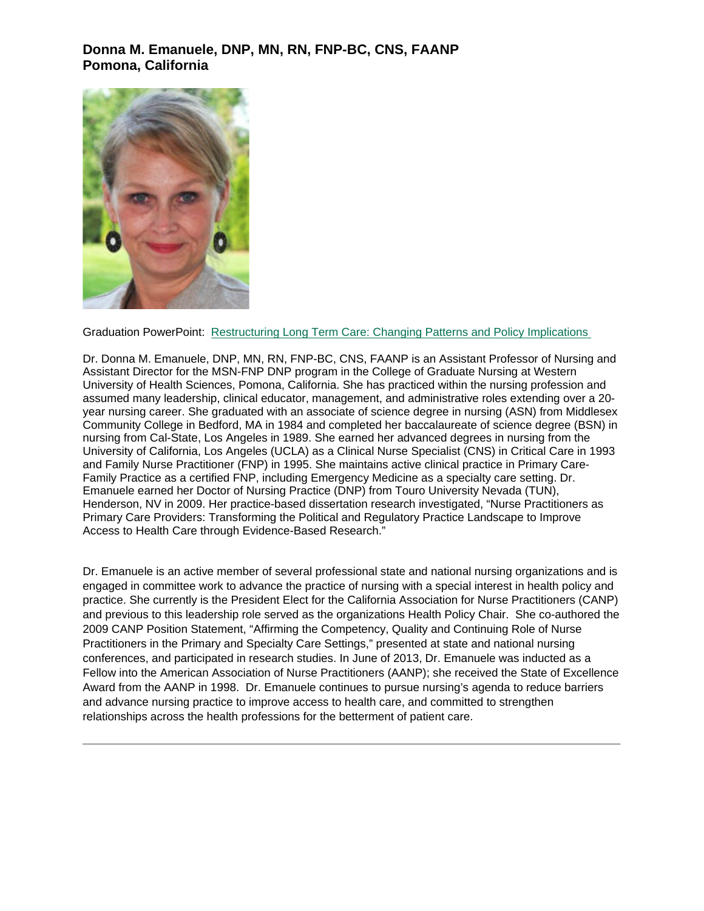# **Donna M. Emanuele, DNP, MN, RN, FNP-BC, CNS, FAANP Pomona, California**



#### Graduation PowerPoint: [Restructuring Long Term Care: Changing Patterns and Policy Implications](https://ohio.box.com/s/5u1ue5kyh8bfti93yyi3vvgaas70i1z9)

Dr. Donna M. Emanuele, DNP, MN, RN, FNP-BC, CNS, FAANP is an Assistant Professor of Nursing and Assistant Director for the MSN-FNP DNP program in the College of Graduate Nursing at Western University of Health Sciences, Pomona, California. She has practiced within the nursing profession and assumed many leadership, clinical educator, management, and administrative roles extending over a 20 year nursing career. She graduated with an associate of science degree in nursing (ASN) from Middlesex Community College in Bedford, MA in 1984 and completed her baccalaureate of science degree (BSN) in nursing from Cal-State, Los Angeles in 1989. She earned her advanced degrees in nursing from the University of California, Los Angeles (UCLA) as a Clinical Nurse Specialist (CNS) in Critical Care in 1993 and Family Nurse Practitioner (FNP) in 1995. She maintains active clinical practice in Primary Care-Family Practice as a certified FNP, including Emergency Medicine as a specialty care setting. Dr. Emanuele earned her Doctor of Nursing Practice (DNP) from Touro University Nevada (TUN), Henderson, NV in 2009. Her practice-based dissertation research investigated, "Nurse Practitioners as Primary Care Providers: Transforming the Political and Regulatory Practice Landscape to Improve Access to Health Care through Evidence-Based Research."

Dr. Emanuele is an active member of several professional state and national nursing organizations and is engaged in committee work to advance the practice of nursing with a special interest in health policy and practice. She currently is the President Elect for the California Association for Nurse Practitioners (CANP) and previous to this leadership role served as the organizations Health Policy Chair. She co-authored the 2009 CANP Position Statement, "Affirming the Competency, Quality and Continuing Role of Nurse Practitioners in the Primary and Specialty Care Settings," presented at state and national nursing conferences, and participated in research studies. In June of 2013, Dr. Emanuele was inducted as a Fellow into the American Association of Nurse Practitioners (AANP); she received the State of Excellence Award from the AANP in 1998. Dr. Emanuele continues to pursue nursing's agenda to reduce barriers and advance nursing practice to improve access to health care, and committed to strengthen relationships across the health professions for the betterment of patient care.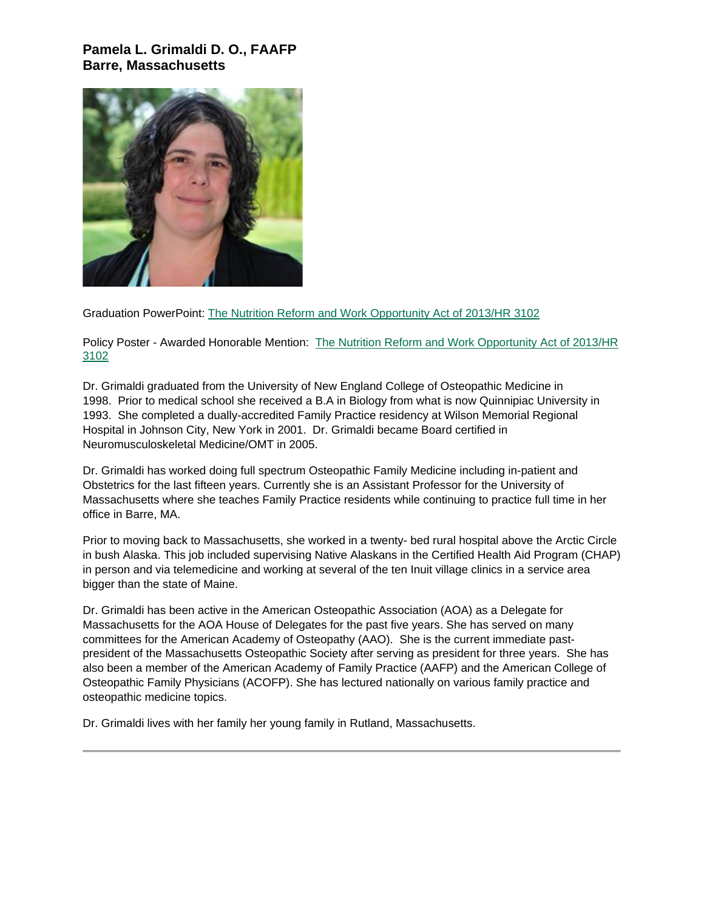## **Pamela L. Grimaldi D. O., FAAFP Barre, Massachusetts**



Graduation PowerPoint: [The Nutrition Reform and Work Opportunity Act of 2013/HR 3102](https://ohio.box.com/s/enper4e1xgpfzslme03hp0o1r7hj0pci)

Policy Poster - Awarded Honorable Mention: [The Nutrition Reform and Work Opportunity Act of 2013/HR](https://ohio.box.com/s/kn1vm0kjqzvscgf66rni4dko7i2s448l)  [3102](https://ohio.box.com/s/kn1vm0kjqzvscgf66rni4dko7i2s448l)

Dr. Grimaldi graduated from the University of New England College of Osteopathic Medicine in 1998. Prior to medical school she received a B.A in Biology from what is now Quinnipiac University in 1993. She completed a dually-accredited Family Practice residency at Wilson Memorial Regional Hospital in Johnson City, New York in 2001. Dr. Grimaldi became Board certified in Neuromusculoskeletal Medicine/OMT in 2005.

Dr. Grimaldi has worked doing full spectrum Osteopathic Family Medicine including in-patient and Obstetrics for the last fifteen years. Currently she is an Assistant Professor for the University of Massachusetts where she teaches Family Practice residents while continuing to practice full time in her office in Barre, MA.

Prior to moving back to Massachusetts, she worked in a twenty- bed rural hospital above the Arctic Circle in bush Alaska. This job included supervising Native Alaskans in the Certified Health Aid Program (CHAP) in person and via telemedicine and working at several of the ten Inuit village clinics in a service area bigger than the state of Maine.

Dr. Grimaldi has been active in the American Osteopathic Association (AOA) as a Delegate for Massachusetts for the AOA House of Delegates for the past five years. She has served on many committees for the American Academy of Osteopathy (AAO). She is the current immediate pastpresident of the Massachusetts Osteopathic Society after serving as president for three years. She has also been a member of the American Academy of Family Practice (AAFP) and the American College of Osteopathic Family Physicians (ACOFP). She has lectured nationally on various family practice and osteopathic medicine topics.

Dr. Grimaldi lives with her family her young family in Rutland, Massachusetts.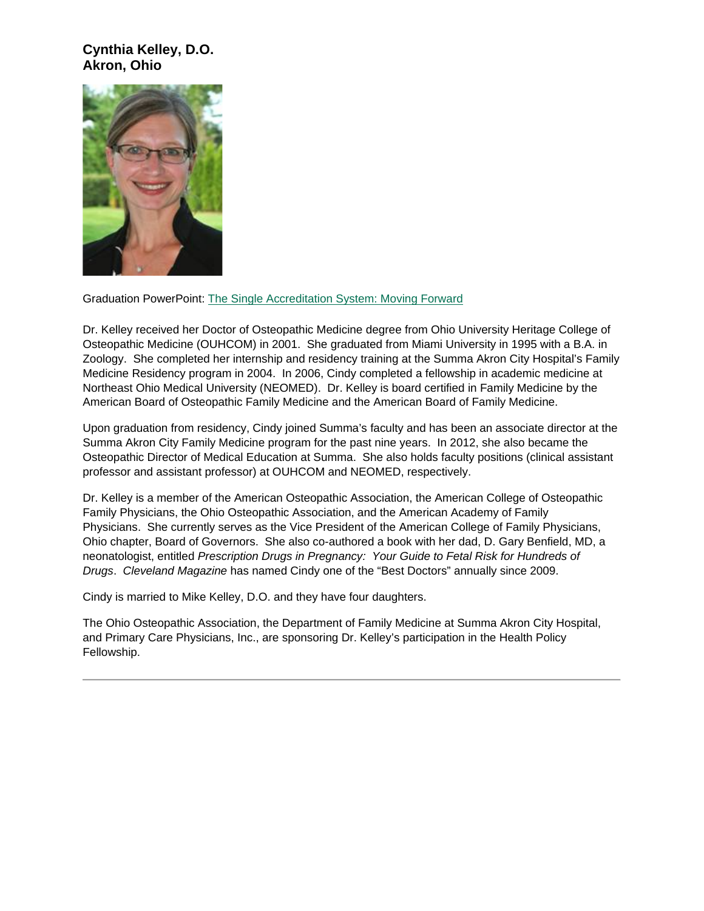## **Cynthia Kelley, D.O. Akron, Ohio**



Graduation PowerPoint: [The Single Accreditation System: Moving Forward](https://ohio.box.com/s/59yy8vn4ip250c73r4cl77mk3vdqro9h)

Dr. Kelley received her Doctor of Osteopathic Medicine degree from Ohio University Heritage College of Osteopathic Medicine (OUHCOM) in 2001. She graduated from Miami University in 1995 with a B.A. in Zoology. She completed her internship and residency training at the Summa Akron City Hospital's Family Medicine Residency program in 2004. In 2006, Cindy completed a fellowship in academic medicine at Northeast Ohio Medical University (NEOMED). Dr. Kelley is board certified in Family Medicine by the American Board of Osteopathic Family Medicine and the American Board of Family Medicine.

Upon graduation from residency, Cindy joined Summa's faculty and has been an associate director at the Summa Akron City Family Medicine program for the past nine years. In 2012, she also became the Osteopathic Director of Medical Education at Summa. She also holds faculty positions (clinical assistant professor and assistant professor) at OUHCOM and NEOMED, respectively.

Dr. Kelley is a member of the American Osteopathic Association, the American College of Osteopathic Family Physicians, the Ohio Osteopathic Association, and the American Academy of Family Physicians. She currently serves as the Vice President of the American College of Family Physicians, Ohio chapter, Board of Governors. She also co-authored a book with her dad, D. Gary Benfield, MD, a neonatologist, entitled *Prescription Drugs in Pregnancy: Your Guide to Fetal Risk for Hundreds of Drugs*. *Cleveland Magazine* has named Cindy one of the "Best Doctors" annually since 2009.

Cindy is married to Mike Kelley, D.O. and they have four daughters.

The Ohio Osteopathic Association, the Department of Family Medicine at Summa Akron City Hospital, and Primary Care Physicians, Inc., are sponsoring Dr. Kelley's participation in the Health Policy Fellowship.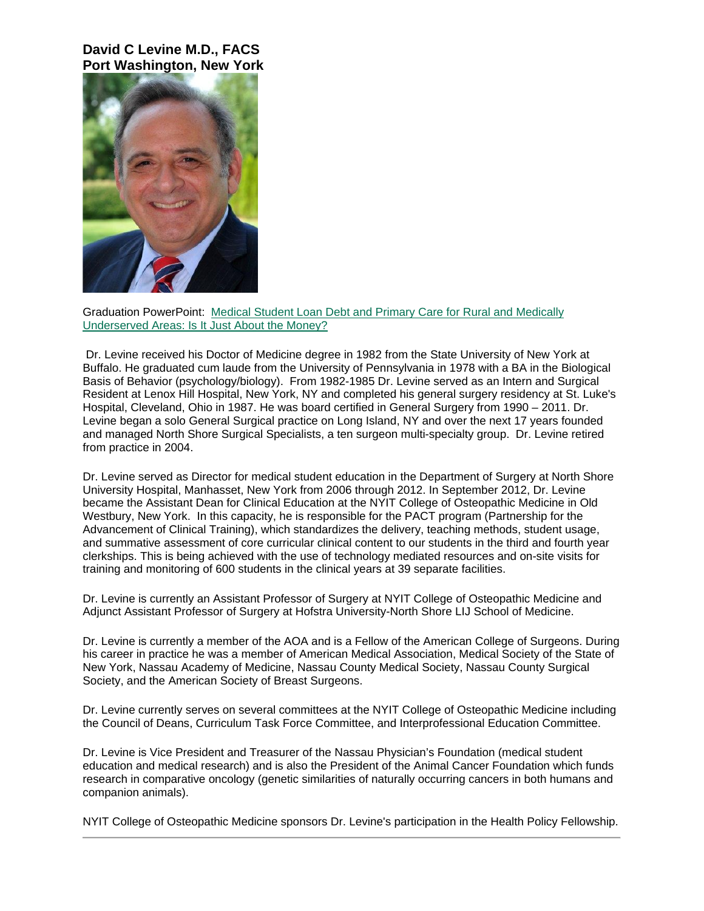### **David C Levine M.D., FACS Port Washington, New York**



Graduation PowerPoint: [Medical Student Loan Debt and Primary Care for Rural and Medically](https://ohio.box.com/s/9ncrw6f3diphfy32bvpbb6b1umf54mtu)  [Underserved Areas: Is It Just About the Money?](https://ohio.box.com/s/9ncrw6f3diphfy32bvpbb6b1umf54mtu)

Dr. Levine received his Doctor of Medicine degree in 1982 from the State University of New York at Buffalo. He graduated cum laude from the University of Pennsylvania in 1978 with a BA in the Biological Basis of Behavior (psychology/biology). From 1982-1985 Dr. Levine served as an Intern and Surgical Resident at Lenox Hill Hospital, New York, NY and completed his general surgery residency at St. Luke's Hospital, Cleveland, Ohio in 1987. He was board certified in General Surgery from 1990 – 2011. Dr. Levine began a solo General Surgical practice on Long Island, NY and over the next 17 years founded and managed North Shore Surgical Specialists, a ten surgeon multi-specialty group. Dr. Levine retired from practice in 2004.

Dr. Levine served as Director for medical student education in the Department of Surgery at North Shore University Hospital, Manhasset, New York from 2006 through 2012. In September 2012, Dr. Levine became the Assistant Dean for Clinical Education at the NYIT College of Osteopathic Medicine in Old Westbury, New York. In this capacity, he is responsible for the PACT program (Partnership for the Advancement of Clinical Training), which standardizes the delivery, teaching methods, student usage, and summative assessment of core curricular clinical content to our students in the third and fourth year clerkships. This is being achieved with the use of technology mediated resources and on-site visits for training and monitoring of 600 students in the clinical years at 39 separate facilities.

Dr. Levine is currently an Assistant Professor of Surgery at NYIT College of Osteopathic Medicine and Adjunct Assistant Professor of Surgery at Hofstra University-North Shore LIJ School of Medicine.

Dr. Levine is currently a member of the AOA and is a Fellow of the American College of Surgeons. During his career in practice he was a member of American Medical Association, Medical Society of the State of New York, Nassau Academy of Medicine, Nassau County Medical Society, Nassau County Surgical Society, and the American Society of Breast Surgeons.

Dr. Levine currently serves on several committees at the NYIT College of Osteopathic Medicine including the Council of Deans, Curriculum Task Force Committee, and Interprofessional Education Committee.

Dr. Levine is Vice President and Treasurer of the Nassau Physician's Foundation (medical student education and medical research) and is also the President of the Animal Cancer Foundation which funds research in comparative oncology (genetic similarities of naturally occurring cancers in both humans and companion animals).

NYIT College of Osteopathic Medicine sponsors Dr. Levine's participation in the Health Policy Fellowship.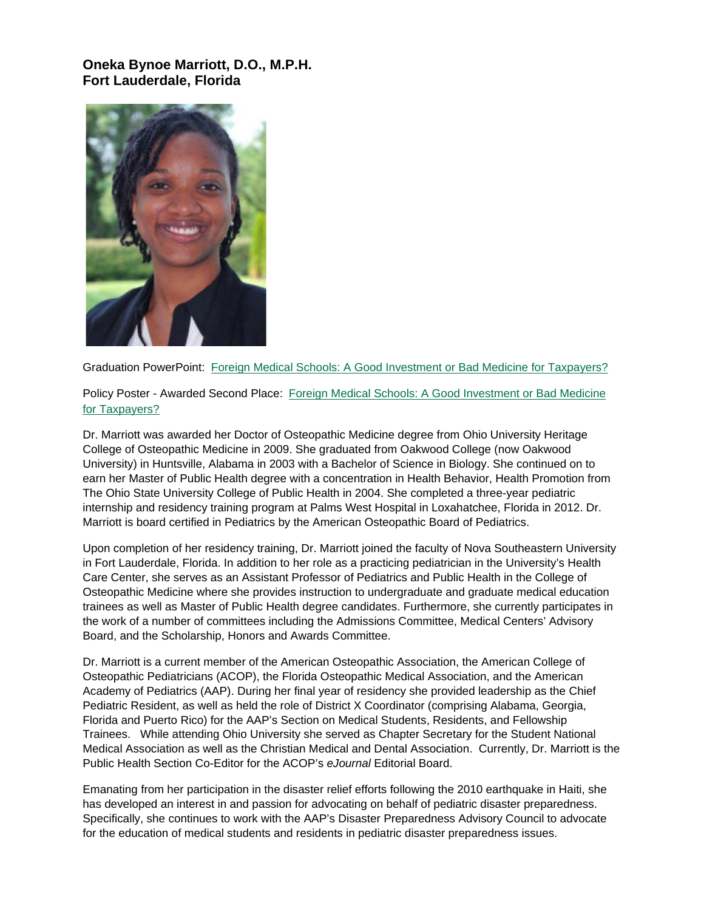## **Oneka Bynoe Marriott, D.O., M.P.H. Fort Lauderdale, Florida**



Graduation PowerPoint: [Foreign Medical Schools: A Good Investment or Bad Medicine for Taxpayers?](https://ohio.box.com/s/9nm7mk71dcwjfj9bmgow6i5w5x3p406m)

Policy Poster - Awarded Second Place: [Foreign Medical Schools: A Good Investment or Bad Medicine](https://ohio.box.com/s/hnxcvjl41eityh9s2svjc8yq0l6c40kx)  [for Taxpayers?](https://ohio.box.com/s/hnxcvjl41eityh9s2svjc8yq0l6c40kx)

Dr. Marriott was awarded her Doctor of Osteopathic Medicine degree from Ohio University Heritage College of Osteopathic Medicine in 2009. She graduated from Oakwood College (now Oakwood University) in Huntsville, Alabama in 2003 with a Bachelor of Science in Biology. She continued on to earn her Master of Public Health degree with a concentration in Health Behavior, Health Promotion from The Ohio State University College of Public Health in 2004. She completed a three-year pediatric internship and residency training program at Palms West Hospital in Loxahatchee, Florida in 2012. Dr. Marriott is board certified in Pediatrics by the American Osteopathic Board of Pediatrics.

Upon completion of her residency training, Dr. Marriott joined the faculty of Nova Southeastern University in Fort Lauderdale, Florida. In addition to her role as a practicing pediatrician in the University's Health Care Center, she serves as an Assistant Professor of Pediatrics and Public Health in the College of Osteopathic Medicine where she provides instruction to undergraduate and graduate medical education trainees as well as Master of Public Health degree candidates. Furthermore, she currently participates in the work of a number of committees including the Admissions Committee, Medical Centers' Advisory Board, and the Scholarship, Honors and Awards Committee.

Dr. Marriott is a current member of the American Osteopathic Association, the American College of Osteopathic Pediatricians (ACOP), the Florida Osteopathic Medical Association, and the American Academy of Pediatrics (AAP). During her final year of residency she provided leadership as the Chief Pediatric Resident, as well as held the role of District X Coordinator (comprising Alabama, Georgia, Florida and Puerto Rico) for the AAP's Section on Medical Students, Residents, and Fellowship Trainees. While attending Ohio University she served as Chapter Secretary for the Student National Medical Association as well as the Christian Medical and Dental Association. Currently, Dr. Marriott is the Public Health Section Co-Editor for the ACOP's *eJournal* Editorial Board.

Emanating from her participation in the disaster relief efforts following the 2010 earthquake in Haiti, she has developed an interest in and passion for advocating on behalf of pediatric disaster preparedness. Specifically, she continues to work with the AAP's Disaster Preparedness Advisory Council to advocate for the education of medical students and residents in pediatric disaster preparedness issues.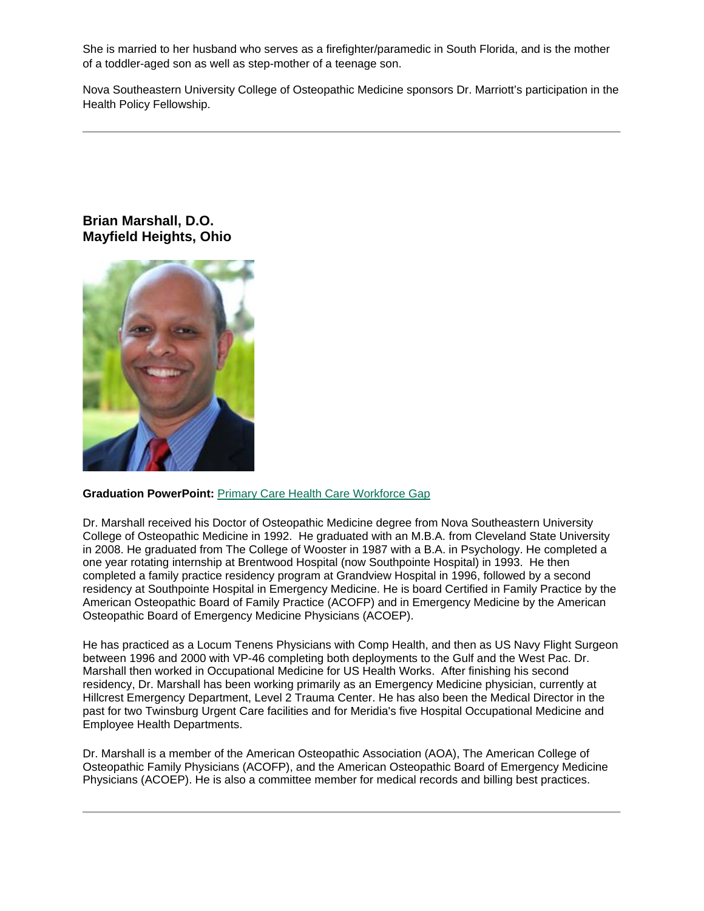She is married to her husband who serves as a firefighter/paramedic in South Florida, and is the mother of a toddler-aged son as well as step-mother of a teenage son.

Nova Southeastern University College of Osteopathic Medicine sponsors Dr. Marriott's participation in the Health Policy Fellowship.

# **Brian Marshall, D.O. Mayfield Heights, Ohio**



#### **Graduation PowerPoint:** [Primary Care Health Care Workforce Gap](https://ohio.box.com/s/ja2fx99zcyiwud4cq4lty4qf44m4m5bg)

Dr. Marshall received his Doctor of Osteopathic Medicine degree from Nova Southeastern University College of Osteopathic Medicine in 1992. He graduated with an M.B.A. from Cleveland State University in 2008. He graduated from The College of Wooster in 1987 with a B.A. in Psychology. He completed a one year rotating internship at Brentwood Hospital (now Southpointe Hospital) in 1993. He then completed a family practice residency program at Grandview Hospital in 1996, followed by a second residency at Southpointe Hospital in Emergency Medicine. He is board Certified in Family Practice by the American Osteopathic Board of Family Practice (ACOFP) and in Emergency Medicine by the American Osteopathic Board of Emergency Medicine Physicians (ACOEP).

He has practiced as a Locum Tenens Physicians with Comp Health, and then as US Navy Flight Surgeon between 1996 and 2000 with VP-46 completing both deployments to the Gulf and the West Pac. Dr. Marshall then worked in Occupational Medicine for US Health Works. After finishing his second residency, Dr. Marshall has been working primarily as an Emergency Medicine physician, currently at Hillcrest Emergency Department, Level 2 Trauma Center. He has also been the Medical Director in the past for two Twinsburg Urgent Care facilities and for Meridia's five Hospital Occupational Medicine and Employee Health Departments.

Dr. Marshall is a member of the American Osteopathic Association (AOA), The American College of Osteopathic Family Physicians (ACOFP), and the American Osteopathic Board of Emergency Medicine Physicians (ACOEP). He is also a committee member for medical records and billing best practices.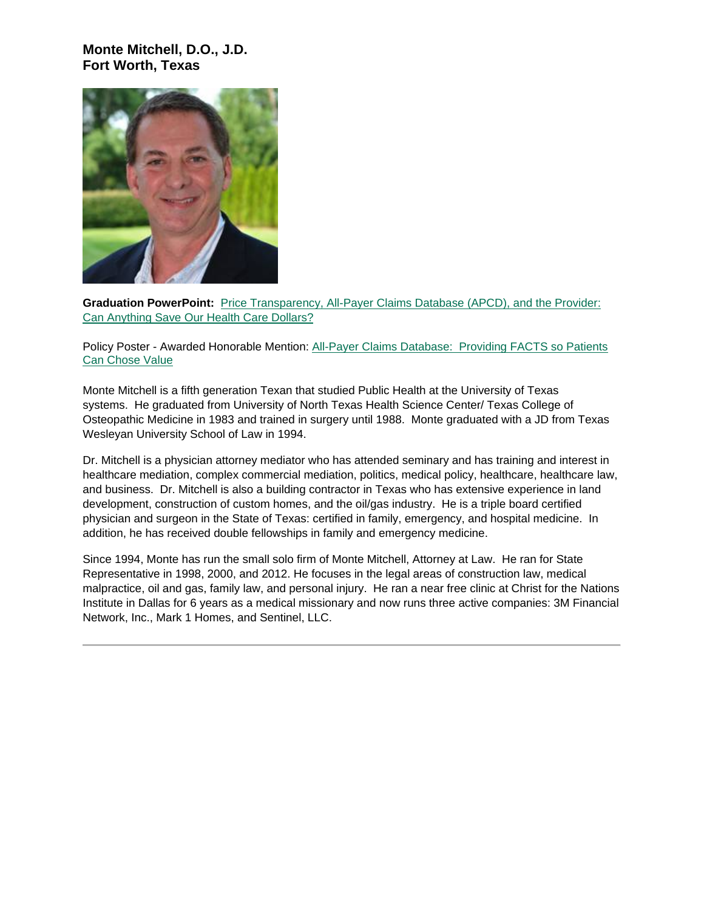# **Monte Mitchell, D.O., J.D. Fort Worth, Texas**



**Graduation PowerPoint:** [Price Transparency, All-Payer Claims Database \(APCD\), and the Provider:](https://ohio.box.com/s/ln96q90yco630f6b3kii49caj58llsek)  [Can Anything Save Our Health Care Dollars?](https://ohio.box.com/s/ln96q90yco630f6b3kii49caj58llsek)

Policy Poster - Awarded Honorable Mention: All-Payer Claims Database: Providing FACTS so Patients [Can Chose Value](https://ohio.box.com/s/k10jrawjbbh46bqafe9qbe26h2vfon70)

Monte Mitchell is a fifth generation Texan that studied Public Health at the University of Texas systems. He graduated from University of North Texas Health Science Center/ Texas College of Osteopathic Medicine in 1983 and trained in surgery until 1988. Monte graduated with a JD from Texas Wesleyan University School of Law in 1994.

Dr. Mitchell is a physician attorney mediator who has attended seminary and has training and interest in healthcare mediation, complex commercial mediation, politics, medical policy, healthcare, healthcare law, and business. Dr. Mitchell is also a building contractor in Texas who has extensive experience in land development, construction of custom homes, and the oil/gas industry. He is a triple board certified physician and surgeon in the State of Texas: certified in family, emergency, and hospital medicine. In addition, he has received double fellowships in family and emergency medicine.

Since 1994, Monte has run the small solo firm of Monte Mitchell, Attorney at Law. He ran for State Representative in 1998, 2000, and 2012. He focuses in the legal areas of construction law, medical malpractice, oil and gas, family law, and personal injury. He ran a near free clinic at Christ for the Nations Institute in Dallas for 6 years as a medical missionary and now runs three active companies: 3M Financial Network, Inc., Mark 1 Homes, and Sentinel, LLC.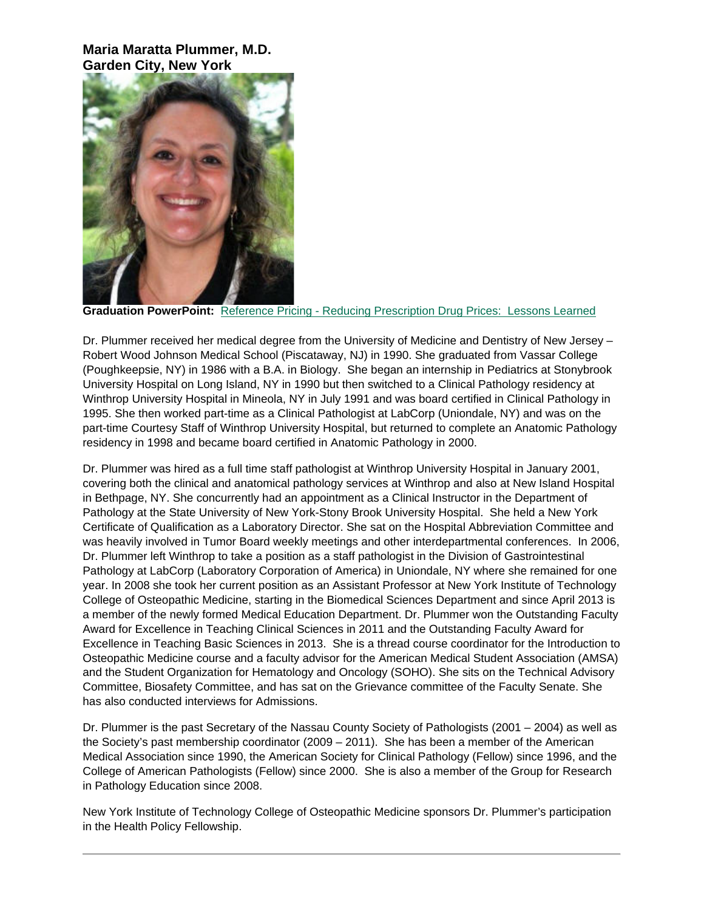**Maria Maratta Plummer, M.D. Garden City, New York**



**Graduation PowerPoint:** Reference Pricing - [Reducing Prescription Drug Prices:](https://ohio.box.com/s/1zm99oju12p8in2mfvouoyevz8gzjzxf) Lessons Learned

Dr. Plummer received her medical degree from the University of Medicine and Dentistry of New Jersey – Robert Wood Johnson Medical School (Piscataway, NJ) in 1990. She graduated from Vassar College (Poughkeepsie, NY) in 1986 with a B.A. in Biology. She began an internship in Pediatrics at Stonybrook University Hospital on Long Island, NY in 1990 but then switched to a Clinical Pathology residency at Winthrop University Hospital in Mineola, NY in July 1991 and was board certified in Clinical Pathology in 1995. She then worked part-time as a Clinical Pathologist at LabCorp (Uniondale, NY) and was on the part-time Courtesy Staff of Winthrop University Hospital, but returned to complete an Anatomic Pathology residency in 1998 and became board certified in Anatomic Pathology in 2000.

Dr. Plummer was hired as a full time staff pathologist at Winthrop University Hospital in January 2001, covering both the clinical and anatomical pathology services at Winthrop and also at New Island Hospital in Bethpage, NY. She concurrently had an appointment as a Clinical Instructor in the Department of Pathology at the State University of New York-Stony Brook University Hospital. She held a New York Certificate of Qualification as a Laboratory Director. She sat on the Hospital Abbreviation Committee and was heavily involved in Tumor Board weekly meetings and other interdepartmental conferences. In 2006, Dr. Plummer left Winthrop to take a position as a staff pathologist in the Division of Gastrointestinal Pathology at LabCorp (Laboratory Corporation of America) in Uniondale, NY where she remained for one year. In 2008 she took her current position as an Assistant Professor at New York Institute of Technology College of Osteopathic Medicine, starting in the Biomedical Sciences Department and since April 2013 is a member of the newly formed Medical Education Department. Dr. Plummer won the Outstanding Faculty Award for Excellence in Teaching Clinical Sciences in 2011 and the Outstanding Faculty Award for Excellence in Teaching Basic Sciences in 2013. She is a thread course coordinator for the Introduction to Osteopathic Medicine course and a faculty advisor for the American Medical Student Association (AMSA) and the Student Organization for Hematology and Oncology (SOHO). She sits on the Technical Advisory Committee, Biosafety Committee, and has sat on the Grievance committee of the Faculty Senate. She has also conducted interviews for Admissions.

Dr. Plummer is the past Secretary of the Nassau County Society of Pathologists (2001 – 2004) as well as the Society's past membership coordinator (2009 – 2011). She has been a member of the American Medical Association since 1990, the American Society for Clinical Pathology (Fellow) since 1996, and the College of American Pathologists (Fellow) since 2000. She is also a member of the Group for Research in Pathology Education since 2008.

New York Institute of Technology College of Osteopathic Medicine sponsors Dr. Plummer's participation in the Health Policy Fellowship.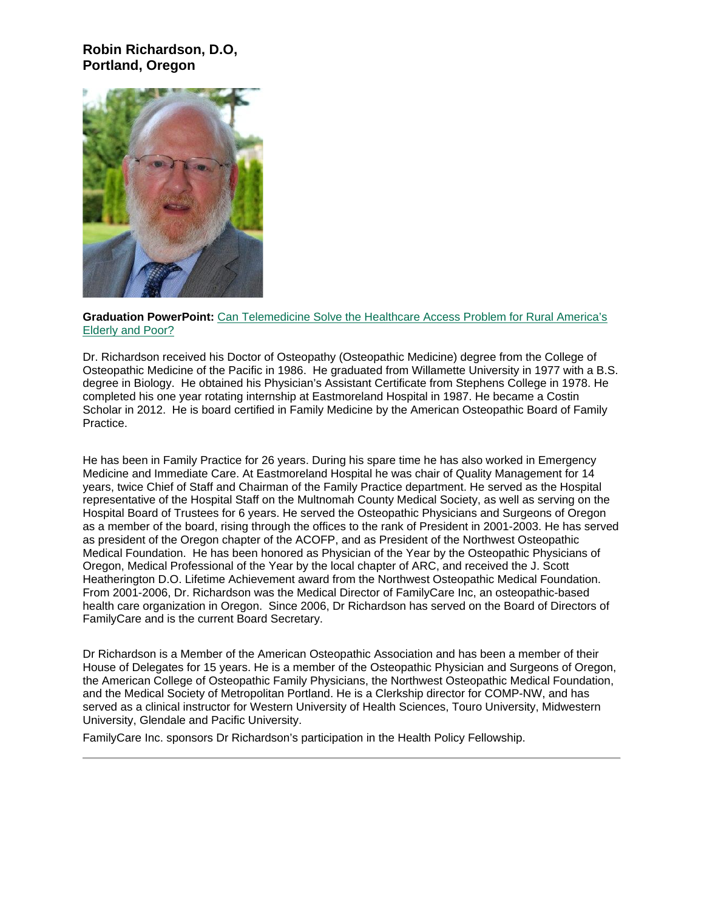# **Robin Richardson, D.O, Portland, Oregon**



#### **Graduation PowerPoint:** [Can Telemedicine Solve the Healthcare Access Problem for Rural America's](https://ohio.box.com/s/hzetup7lfkfb11u3vhxtdxs2w9smypbo)  [Elderly and Poor?](https://ohio.box.com/s/hzetup7lfkfb11u3vhxtdxs2w9smypbo)

Dr. Richardson received his Doctor of Osteopathy (Osteopathic Medicine) degree from the College of Osteopathic Medicine of the Pacific in 1986. He graduated from Willamette University in 1977 with a B.S. degree in Biology. He obtained his Physician's Assistant Certificate from Stephens College in 1978. He completed his one year rotating internship at Eastmoreland Hospital in 1987. He became a Costin Scholar in 2012. He is board certified in Family Medicine by the American Osteopathic Board of Family Practice.

He has been in Family Practice for 26 years. During his spare time he has also worked in Emergency Medicine and Immediate Care. At Eastmoreland Hospital he was chair of Quality Management for 14 years, twice Chief of Staff and Chairman of the Family Practice department. He served as the Hospital representative of the Hospital Staff on the Multnomah County Medical Society, as well as serving on the Hospital Board of Trustees for 6 years. He served the Osteopathic Physicians and Surgeons of Oregon as a member of the board, rising through the offices to the rank of President in 2001-2003. He has served as president of the Oregon chapter of the ACOFP, and as President of the Northwest Osteopathic Medical Foundation. He has been honored as Physician of the Year by the Osteopathic Physicians of Oregon, Medical Professional of the Year by the local chapter of ARC, and received the J. Scott Heatherington D.O. Lifetime Achievement award from the Northwest Osteopathic Medical Foundation. From 2001-2006, Dr. Richardson was the Medical Director of FamilyCare Inc, an osteopathic-based health care organization in Oregon. Since 2006, Dr Richardson has served on the Board of Directors of FamilyCare and is the current Board Secretary.

Dr Richardson is a Member of the American Osteopathic Association and has been a member of their House of Delegates for 15 years. He is a member of the Osteopathic Physician and Surgeons of Oregon, the American College of Osteopathic Family Physicians, the Northwest Osteopathic Medical Foundation, and the Medical Society of Metropolitan Portland. He is a Clerkship director for COMP-NW, and has served as a clinical instructor for Western University of Health Sciences, Touro University, Midwestern University, Glendale and Pacific University.

FamilyCare Inc. sponsors Dr Richardson's participation in the Health Policy Fellowship.